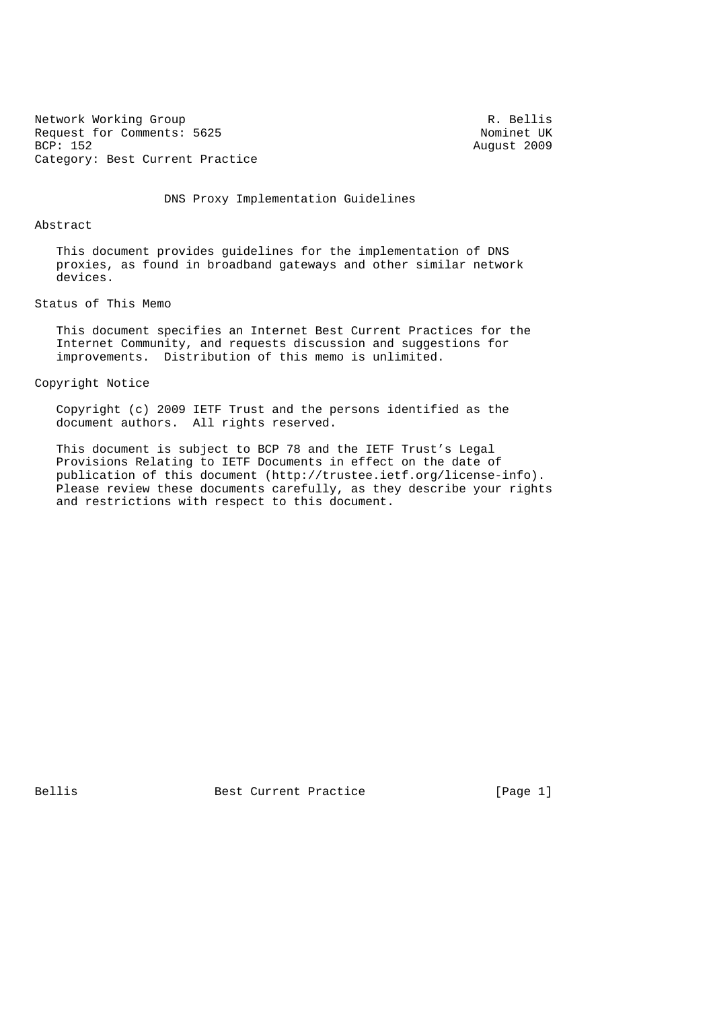Network Working Group<br>
R. Bellis<br>
Request for Comments: 5625 Request for Comments: 5625<br>BCP: 152 Category: Best Current Practice

August 2009

DNS Proxy Implementation Guidelines

#### Abstract

 This document provides guidelines for the implementation of DNS proxies, as found in broadband gateways and other similar network devices.

# Status of This Memo

 This document specifies an Internet Best Current Practices for the Internet Community, and requests discussion and suggestions for improvements. Distribution of this memo is unlimited.

## Copyright Notice

 Copyright (c) 2009 IETF Trust and the persons identified as the document authors. All rights reserved.

 This document is subject to BCP 78 and the IETF Trust's Legal Provisions Relating to IETF Documents in effect on the date of publication of this document (http://trustee.ietf.org/license-info). Please review these documents carefully, as they describe your rights and restrictions with respect to this document.

Bellis Best Current Practice [Page 1]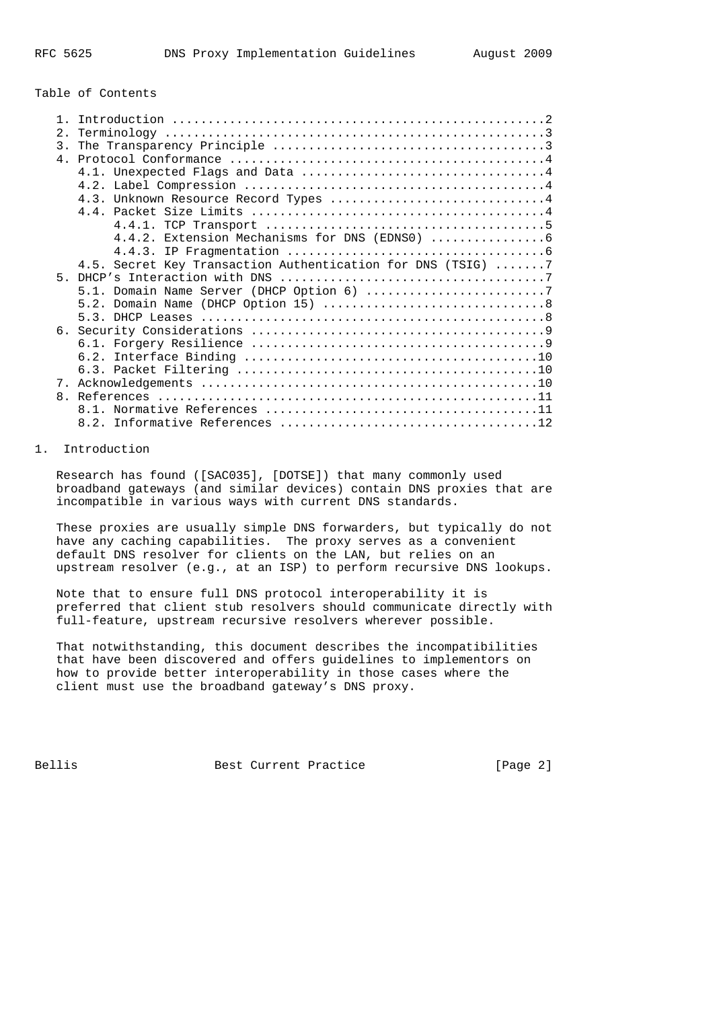#### Table of Contents

| 2.                                                                                                          |  |
|-------------------------------------------------------------------------------------------------------------|--|
| 3.                                                                                                          |  |
| 4. Protocol Conformance $\ldots, \ldots, \ldots, \ldots, \ldots, \ldots, \ldots, \ldots, \ldots, \ldots, 4$ |  |
|                                                                                                             |  |
|                                                                                                             |  |
| 4.3. Unknown Resource Record Types 4                                                                        |  |
|                                                                                                             |  |
|                                                                                                             |  |
|                                                                                                             |  |
|                                                                                                             |  |
| 4.5. Secret Key Transaction Authentication for DNS (TSIG) 7                                                 |  |
| $5 -$                                                                                                       |  |
|                                                                                                             |  |
|                                                                                                             |  |
|                                                                                                             |  |
|                                                                                                             |  |
|                                                                                                             |  |
|                                                                                                             |  |
|                                                                                                             |  |
| 7.                                                                                                          |  |
| $\mathsf{R}$                                                                                                |  |
|                                                                                                             |  |
|                                                                                                             |  |

# 1. Introduction

 Research has found ([SAC035], [DOTSE]) that many commonly used broadband gateways (and similar devices) contain DNS proxies that are incompatible in various ways with current DNS standards.

 These proxies are usually simple DNS forwarders, but typically do not have any caching capabilities. The proxy serves as a convenient default DNS resolver for clients on the LAN, but relies on an upstream resolver (e.g., at an ISP) to perform recursive DNS lookups.

 Note that to ensure full DNS protocol interoperability it is preferred that client stub resolvers should communicate directly with full-feature, upstream recursive resolvers wherever possible.

 That notwithstanding, this document describes the incompatibilities that have been discovered and offers guidelines to implementors on how to provide better interoperability in those cases where the client must use the broadband gateway's DNS proxy.

Bellis Best Current Practice [Page 2]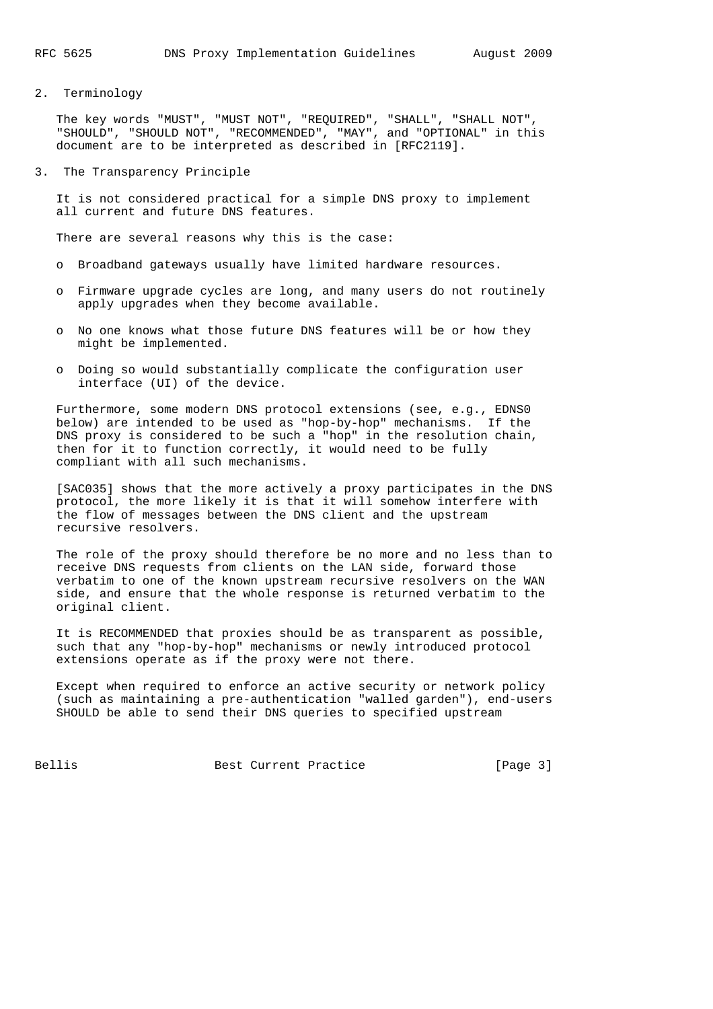2. Terminology

 The key words "MUST", "MUST NOT", "REQUIRED", "SHALL", "SHALL NOT", "SHOULD", "SHOULD NOT", "RECOMMENDED", "MAY", and "OPTIONAL" in this document are to be interpreted as described in [RFC2119].

3. The Transparency Principle

 It is not considered practical for a simple DNS proxy to implement all current and future DNS features.

There are several reasons why this is the case:

- o Broadband gateways usually have limited hardware resources.
- o Firmware upgrade cycles are long, and many users do not routinely apply upgrades when they become available.
- o No one knows what those future DNS features will be or how they might be implemented.
- o Doing so would substantially complicate the configuration user interface (UI) of the device.

 Furthermore, some modern DNS protocol extensions (see, e.g., EDNS0 below) are intended to be used as "hop-by-hop" mechanisms. If the DNS proxy is considered to be such a "hop" in the resolution chain, then for it to function correctly, it would need to be fully compliant with all such mechanisms.

 [SAC035] shows that the more actively a proxy participates in the DNS protocol, the more likely it is that it will somehow interfere with the flow of messages between the DNS client and the upstream recursive resolvers.

 The role of the proxy should therefore be no more and no less than to receive DNS requests from clients on the LAN side, forward those verbatim to one of the known upstream recursive resolvers on the WAN side, and ensure that the whole response is returned verbatim to the original client.

 It is RECOMMENDED that proxies should be as transparent as possible, such that any "hop-by-hop" mechanisms or newly introduced protocol extensions operate as if the proxy were not there.

 Except when required to enforce an active security or network policy (such as maintaining a pre-authentication "walled garden"), end-users SHOULD be able to send their DNS queries to specified upstream

Bellis Best Current Practice [Page 3]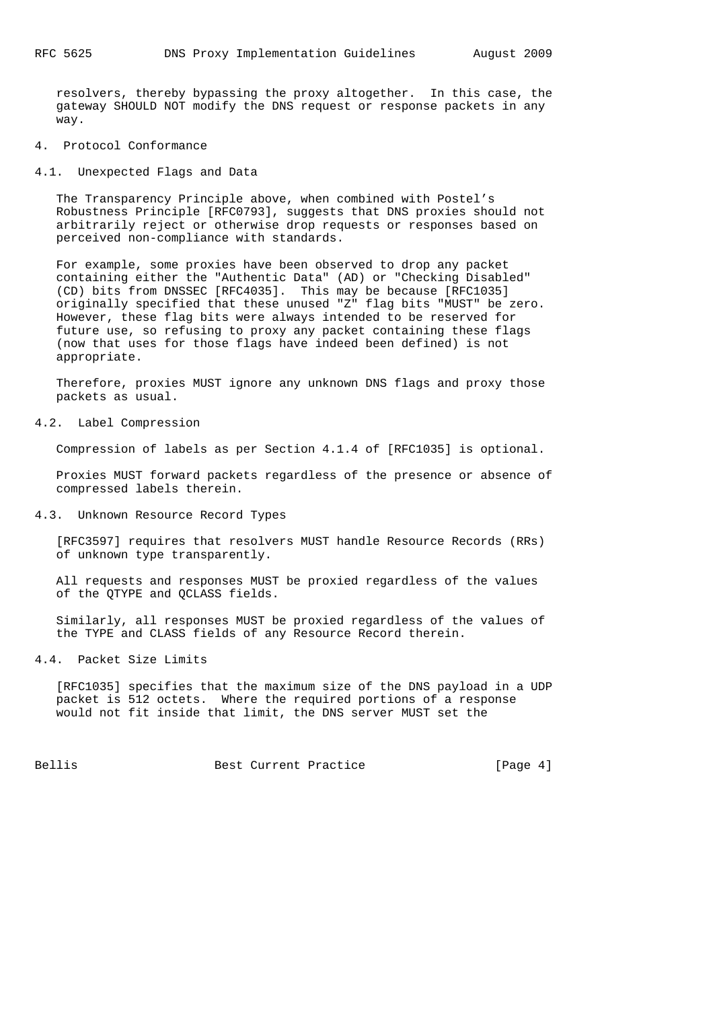resolvers, thereby bypassing the proxy altogether. In this case, the gateway SHOULD NOT modify the DNS request or response packets in any way.

- 4. Protocol Conformance
- 4.1. Unexpected Flags and Data

 The Transparency Principle above, when combined with Postel's Robustness Principle [RFC0793], suggests that DNS proxies should not arbitrarily reject or otherwise drop requests or responses based on perceived non-compliance with standards.

 For example, some proxies have been observed to drop any packet containing either the "Authentic Data" (AD) or "Checking Disabled" (CD) bits from DNSSEC [RFC4035]. This may be because [RFC1035] originally specified that these unused "Z" flag bits "MUST" be zero. However, these flag bits were always intended to be reserved for future use, so refusing to proxy any packet containing these flags (now that uses for those flags have indeed been defined) is not appropriate.

 Therefore, proxies MUST ignore any unknown DNS flags and proxy those packets as usual.

4.2. Label Compression

Compression of labels as per Section 4.1.4 of [RFC1035] is optional.

 Proxies MUST forward packets regardless of the presence or absence of compressed labels therein.

4.3. Unknown Resource Record Types

 [RFC3597] requires that resolvers MUST handle Resource Records (RRs) of unknown type transparently.

 All requests and responses MUST be proxied regardless of the values of the QTYPE and QCLASS fields.

 Similarly, all responses MUST be proxied regardless of the values of the TYPE and CLASS fields of any Resource Record therein.

4.4. Packet Size Limits

 [RFC1035] specifies that the maximum size of the DNS payload in a UDP packet is 512 octets. Where the required portions of a response would not fit inside that limit, the DNS server MUST set the

Bellis Best Current Practice [Page 4]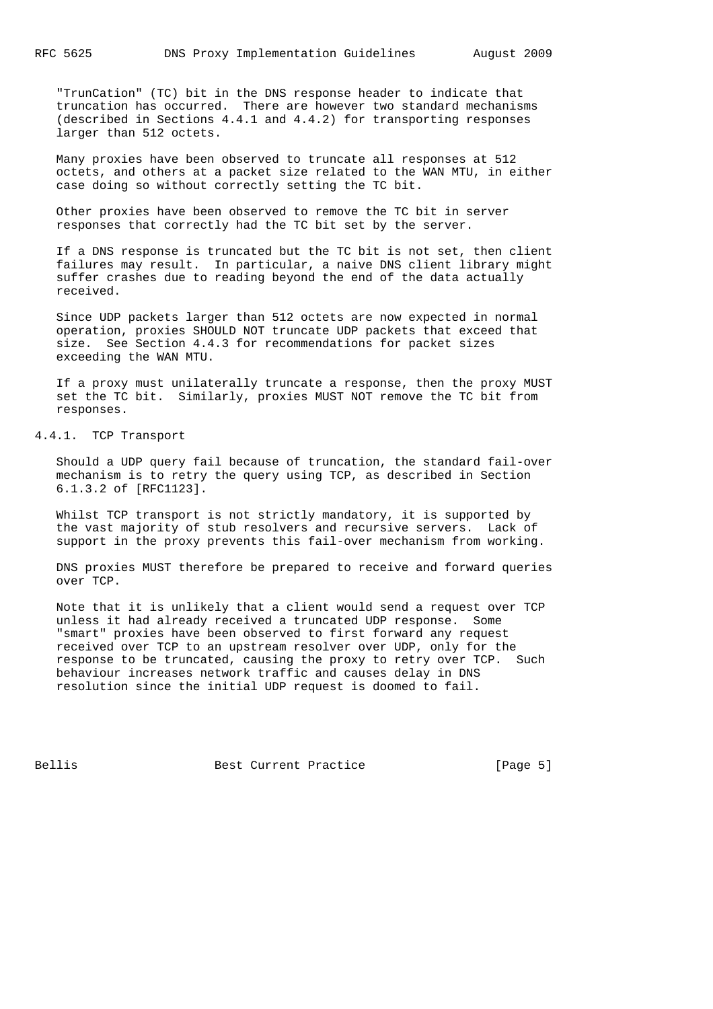"TrunCation" (TC) bit in the DNS response header to indicate that truncation has occurred. There are however two standard mechanisms (described in Sections 4.4.1 and 4.4.2) for transporting responses larger than 512 octets.

 Many proxies have been observed to truncate all responses at 512 octets, and others at a packet size related to the WAN MTU, in either case doing so without correctly setting the TC bit.

 Other proxies have been observed to remove the TC bit in server responses that correctly had the TC bit set by the server.

 If a DNS response is truncated but the TC bit is not set, then client failures may result. In particular, a naive DNS client library might suffer crashes due to reading beyond the end of the data actually received.

 Since UDP packets larger than 512 octets are now expected in normal operation, proxies SHOULD NOT truncate UDP packets that exceed that size. See Section 4.4.3 for recommendations for packet sizes exceeding the WAN MTU.

 If a proxy must unilaterally truncate a response, then the proxy MUST set the TC bit. Similarly, proxies MUST NOT remove the TC bit from responses.

4.4.1. TCP Transport

 Should a UDP query fail because of truncation, the standard fail-over mechanism is to retry the query using TCP, as described in Section 6.1.3.2 of [RFC1123].

 Whilst TCP transport is not strictly mandatory, it is supported by the vast majority of stub resolvers and recursive servers. Lack of support in the proxy prevents this fail-over mechanism from working.

 DNS proxies MUST therefore be prepared to receive and forward queries over TCP.

 Note that it is unlikely that a client would send a request over TCP unless it had already received a truncated UDP response. Some "smart" proxies have been observed to first forward any request received over TCP to an upstream resolver over UDP, only for the response to be truncated, causing the proxy to retry over TCP. Such behaviour increases network traffic and causes delay in DNS resolution since the initial UDP request is doomed to fail.

Bellis Best Current Practice [Page 5]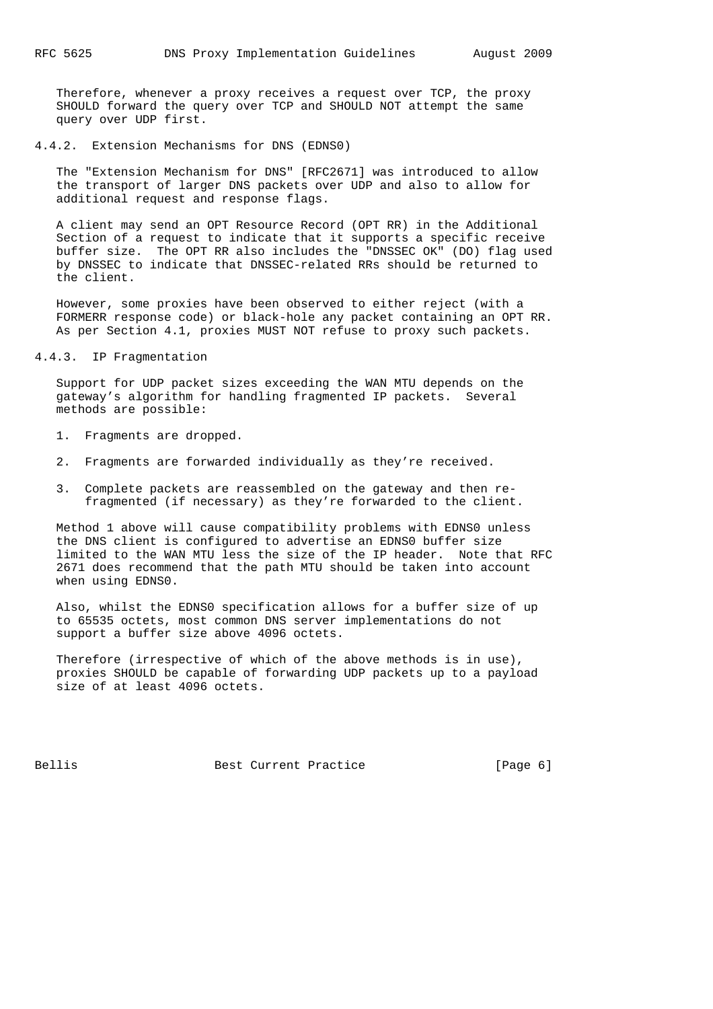Therefore, whenever a proxy receives a request over TCP, the proxy SHOULD forward the query over TCP and SHOULD NOT attempt the same query over UDP first.

4.4.2. Extension Mechanisms for DNS (EDNS0)

 The "Extension Mechanism for DNS" [RFC2671] was introduced to allow the transport of larger DNS packets over UDP and also to allow for additional request and response flags.

 A client may send an OPT Resource Record (OPT RR) in the Additional Section of a request to indicate that it supports a specific receive buffer size. The OPT RR also includes the "DNSSEC OK" (DO) flag used by DNSSEC to indicate that DNSSEC-related RRs should be returned to the client.

 However, some proxies have been observed to either reject (with a FORMERR response code) or black-hole any packet containing an OPT RR. As per Section 4.1, proxies MUST NOT refuse to proxy such packets.

#### 4.4.3. IP Fragmentation

 Support for UDP packet sizes exceeding the WAN MTU depends on the gateway's algorithm for handling fragmented IP packets. Several methods are possible:

- 1. Fragments are dropped.
- 2. Fragments are forwarded individually as they're received.
- 3. Complete packets are reassembled on the gateway and then re fragmented (if necessary) as they're forwarded to the client.

 Method 1 above will cause compatibility problems with EDNS0 unless the DNS client is configured to advertise an EDNS0 buffer size limited to the WAN MTU less the size of the IP header. Note that RFC 2671 does recommend that the path MTU should be taken into account when using EDNS0.

 Also, whilst the EDNS0 specification allows for a buffer size of up to 65535 octets, most common DNS server implementations do not support a buffer size above 4096 octets.

 Therefore (irrespective of which of the above methods is in use), proxies SHOULD be capable of forwarding UDP packets up to a payload size of at least 4096 octets.

Bellis Best Current Practice [Page 6]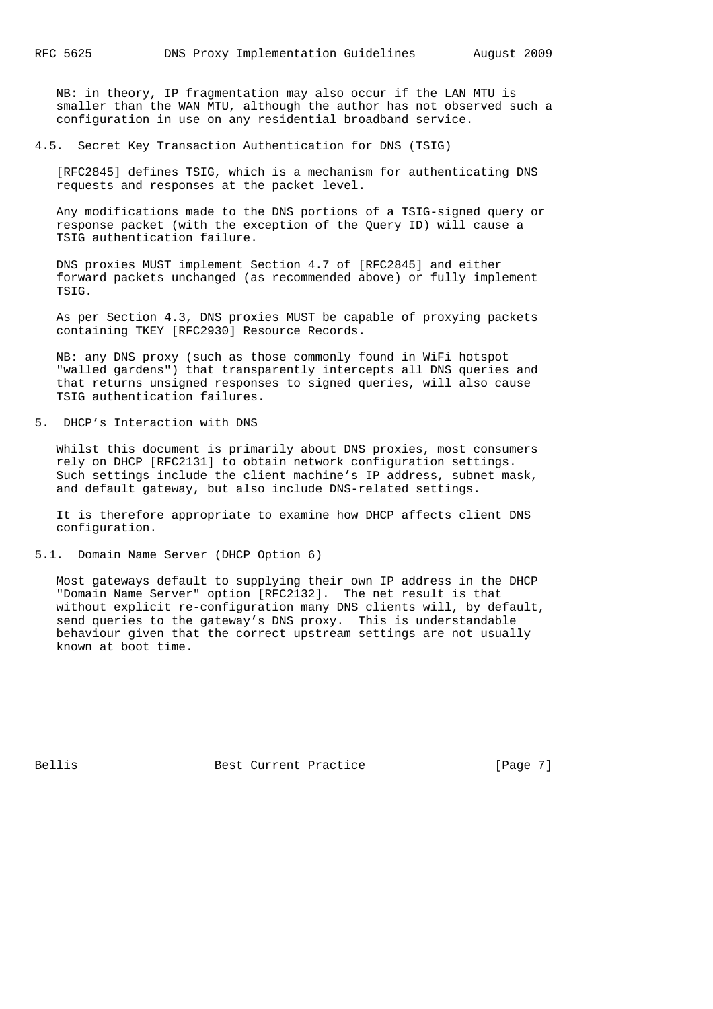NB: in theory, IP fragmentation may also occur if the LAN MTU is smaller than the WAN MTU, although the author has not observed such a configuration in use on any residential broadband service.

4.5. Secret Key Transaction Authentication for DNS (TSIG)

 [RFC2845] defines TSIG, which is a mechanism for authenticating DNS requests and responses at the packet level.

 Any modifications made to the DNS portions of a TSIG-signed query or response packet (with the exception of the Query ID) will cause a TSIG authentication failure.

 DNS proxies MUST implement Section 4.7 of [RFC2845] and either forward packets unchanged (as recommended above) or fully implement TSIG.

 As per Section 4.3, DNS proxies MUST be capable of proxying packets containing TKEY [RFC2930] Resource Records.

 NB: any DNS proxy (such as those commonly found in WiFi hotspot "walled gardens") that transparently intercepts all DNS queries and that returns unsigned responses to signed queries, will also cause TSIG authentication failures.

5. DHCP's Interaction with DNS

 Whilst this document is primarily about DNS proxies, most consumers rely on DHCP [RFC2131] to obtain network configuration settings. Such settings include the client machine's IP address, subnet mask, and default gateway, but also include DNS-related settings.

 It is therefore appropriate to examine how DHCP affects client DNS configuration.

5.1. Domain Name Server (DHCP Option 6)

 Most gateways default to supplying their own IP address in the DHCP "Domain Name Server" option [RFC2132]. The net result is that without explicit re-configuration many DNS clients will, by default, send queries to the gateway's DNS proxy. This is understandable behaviour given that the correct upstream settings are not usually known at boot time.

Bellis Best Current Practice [Page 7]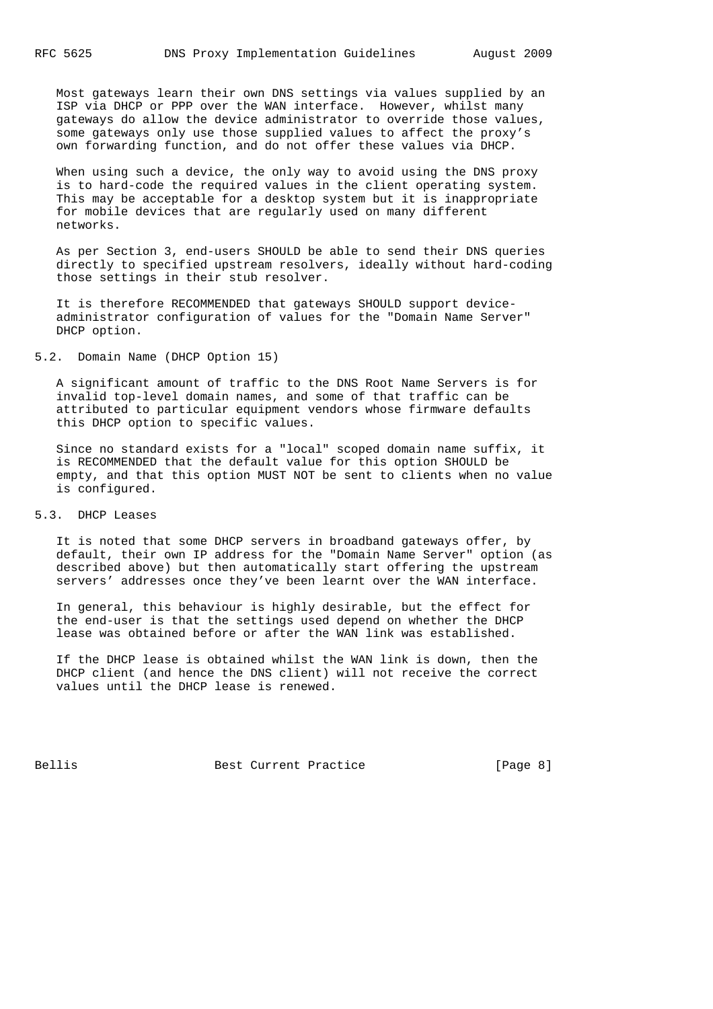Most gateways learn their own DNS settings via values supplied by an ISP via DHCP or PPP over the WAN interface. However, whilst many gateways do allow the device administrator to override those values, some gateways only use those supplied values to affect the proxy's own forwarding function, and do not offer these values via DHCP.

 When using such a device, the only way to avoid using the DNS proxy is to hard-code the required values in the client operating system. This may be acceptable for a desktop system but it is inappropriate for mobile devices that are regularly used on many different networks.

 As per Section 3, end-users SHOULD be able to send their DNS queries directly to specified upstream resolvers, ideally without hard-coding those settings in their stub resolver.

 It is therefore RECOMMENDED that gateways SHOULD support device administrator configuration of values for the "Domain Name Server" DHCP option.

#### 5.2. Domain Name (DHCP Option 15)

 A significant amount of traffic to the DNS Root Name Servers is for invalid top-level domain names, and some of that traffic can be attributed to particular equipment vendors whose firmware defaults this DHCP option to specific values.

 Since no standard exists for a "local" scoped domain name suffix, it is RECOMMENDED that the default value for this option SHOULD be empty, and that this option MUST NOT be sent to clients when no value is configured.

#### 5.3. DHCP Leases

 It is noted that some DHCP servers in broadband gateways offer, by default, their own IP address for the "Domain Name Server" option (as described above) but then automatically start offering the upstream servers' addresses once they've been learnt over the WAN interface.

 In general, this behaviour is highly desirable, but the effect for the end-user is that the settings used depend on whether the DHCP lease was obtained before or after the WAN link was established.

 If the DHCP lease is obtained whilst the WAN link is down, then the DHCP client (and hence the DNS client) will not receive the correct values until the DHCP lease is renewed.

Bellis Best Current Practice [Page 8]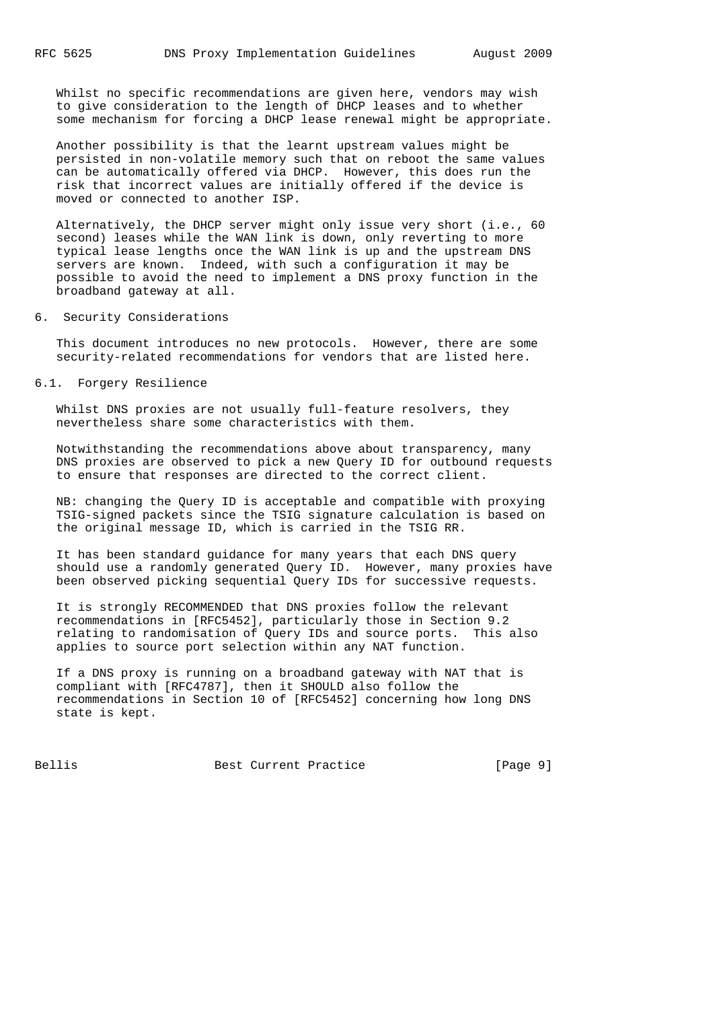Whilst no specific recommendations are given here, vendors may wish to give consideration to the length of DHCP leases and to whether some mechanism for forcing a DHCP lease renewal might be appropriate.

 Another possibility is that the learnt upstream values might be persisted in non-volatile memory such that on reboot the same values can be automatically offered via DHCP. However, this does run the risk that incorrect values are initially offered if the device is moved or connected to another ISP.

 Alternatively, the DHCP server might only issue very short (i.e., 60 second) leases while the WAN link is down, only reverting to more typical lease lengths once the WAN link is up and the upstream DNS servers are known. Indeed, with such a configuration it may be possible to avoid the need to implement a DNS proxy function in the broadband gateway at all.

6. Security Considerations

 This document introduces no new protocols. However, there are some security-related recommendations for vendors that are listed here.

### 6.1. Forgery Resilience

 Whilst DNS proxies are not usually full-feature resolvers, they nevertheless share some characteristics with them.

 Notwithstanding the recommendations above about transparency, many DNS proxies are observed to pick a new Query ID for outbound requests to ensure that responses are directed to the correct client.

 NB: changing the Query ID is acceptable and compatible with proxying TSIG-signed packets since the TSIG signature calculation is based on the original message ID, which is carried in the TSIG RR.

 It has been standard guidance for many years that each DNS query should use a randomly generated Query ID. However, many proxies have been observed picking sequential Query IDs for successive requests.

 It is strongly RECOMMENDED that DNS proxies follow the relevant recommendations in [RFC5452], particularly those in Section 9.2 relating to randomisation of Query IDs and source ports. This also applies to source port selection within any NAT function.

 If a DNS proxy is running on a broadband gateway with NAT that is compliant with [RFC4787], then it SHOULD also follow the recommendations in Section 10 of [RFC5452] concerning how long DNS state is kept.

Bellis Best Current Practice [Page 9]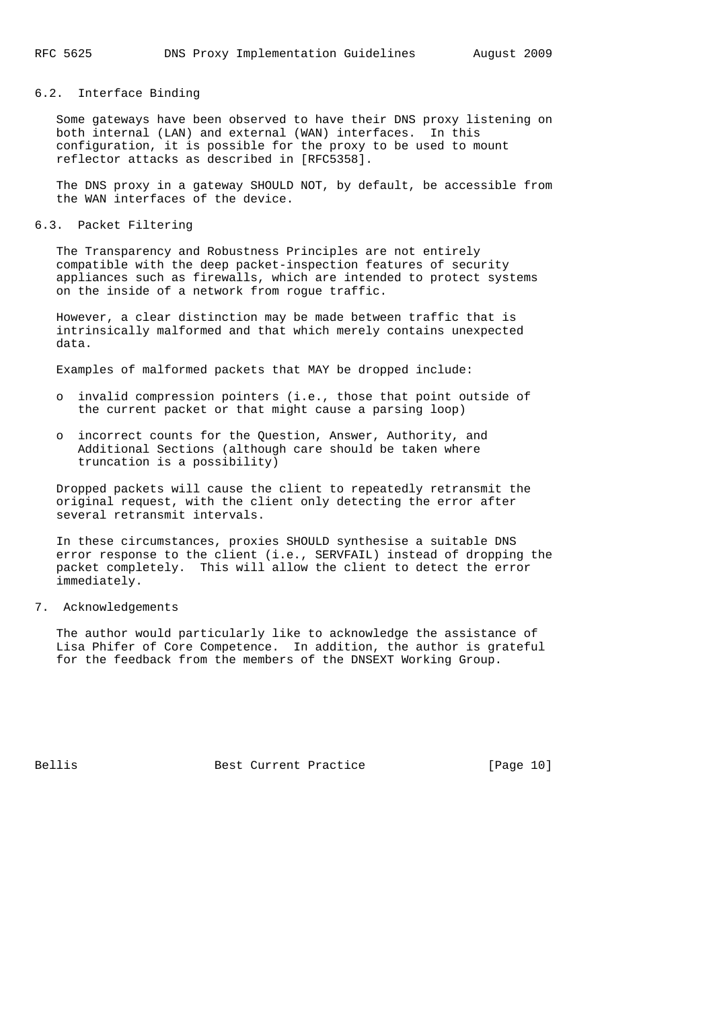# 6.2. Interface Binding

 Some gateways have been observed to have their DNS proxy listening on both internal (LAN) and external (WAN) interfaces. In this configuration, it is possible for the proxy to be used to mount reflector attacks as described in [RFC5358].

 The DNS proxy in a gateway SHOULD NOT, by default, be accessible from the WAN interfaces of the device.

6.3. Packet Filtering

 The Transparency and Robustness Principles are not entirely compatible with the deep packet-inspection features of security appliances such as firewalls, which are intended to protect systems on the inside of a network from rogue traffic.

 However, a clear distinction may be made between traffic that is intrinsically malformed and that which merely contains unexpected data.

Examples of malformed packets that MAY be dropped include:

- o invalid compression pointers (i.e., those that point outside of the current packet or that might cause a parsing loop)
- o incorrect counts for the Question, Answer, Authority, and Additional Sections (although care should be taken where truncation is a possibility)

 Dropped packets will cause the client to repeatedly retransmit the original request, with the client only detecting the error after several retransmit intervals.

 In these circumstances, proxies SHOULD synthesise a suitable DNS error response to the client (i.e., SERVFAIL) instead of dropping the packet completely. This will allow the client to detect the error immediately.

#### 7. Acknowledgements

 The author would particularly like to acknowledge the assistance of Lisa Phifer of Core Competence. In addition, the author is grateful for the feedback from the members of the DNSEXT Working Group.

Bellis Best Current Practice [Page 10]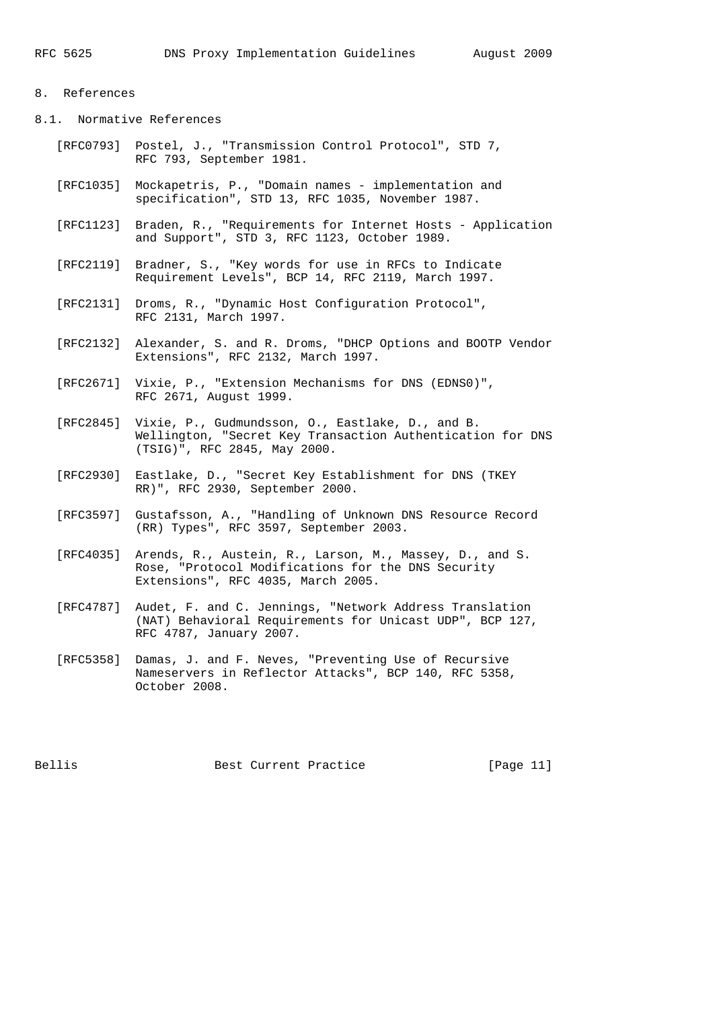# 8. References

8.1. Normative References

- [RFC0793] Postel, J., "Transmission Control Protocol", STD 7, RFC 793, September 1981.
- [RFC1035] Mockapetris, P., "Domain names implementation and specification", STD 13, RFC 1035, November 1987.
- [RFC1123] Braden, R., "Requirements for Internet Hosts Application and Support", STD 3, RFC 1123, October 1989.
- [RFC2119] Bradner, S., "Key words for use in RFCs to Indicate Requirement Levels", BCP 14, RFC 2119, March 1997.
- [RFC2131] Droms, R., "Dynamic Host Configuration Protocol", RFC 2131, March 1997.
- [RFC2132] Alexander, S. and R. Droms, "DHCP Options and BOOTP Vendor Extensions", RFC 2132, March 1997.
- [RFC2671] Vixie, P., "Extension Mechanisms for DNS (EDNS0)", RFC 2671, August 1999.
- [RFC2845] Vixie, P., Gudmundsson, O., Eastlake, D., and B. Wellington, "Secret Key Transaction Authentication for DNS (TSIG)", RFC 2845, May 2000.
- [RFC2930] Eastlake, D., "Secret Key Establishment for DNS (TKEY RR)", RFC 2930, September 2000.
- [RFC3597] Gustafsson, A., "Handling of Unknown DNS Resource Record (RR) Types", RFC 3597, September 2003.
- [RFC4035] Arends, R., Austein, R., Larson, M., Massey, D., and S. Rose, "Protocol Modifications for the DNS Security Extensions", RFC 4035, March 2005.
- [RFC4787] Audet, F. and C. Jennings, "Network Address Translation (NAT) Behavioral Requirements for Unicast UDP", BCP 127, RFC 4787, January 2007.
- [RFC5358] Damas, J. and F. Neves, "Preventing Use of Recursive Nameservers in Reflector Attacks", BCP 140, RFC 5358, October 2008.

Bellis Best Current Practice [Page 11]